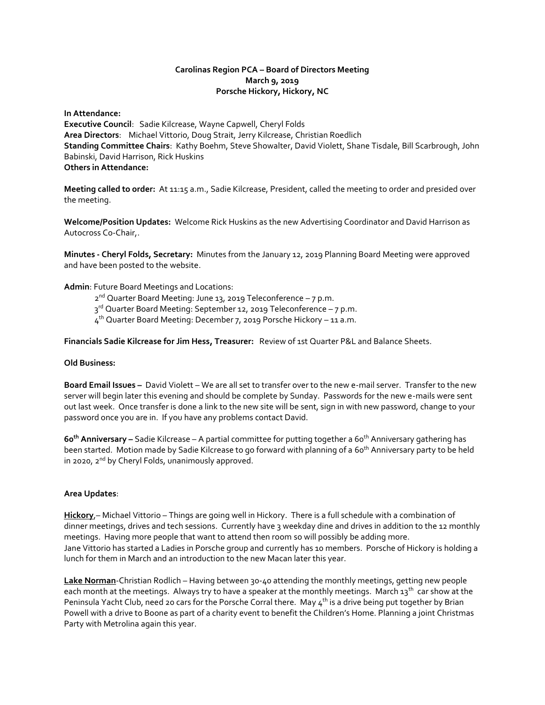# **Carolinas Region PCA – Board of Directors Meeting March 9, 2019 Porsche Hickory, Hickory, NC**

**In Attendance: Executive Council**: Sadie Kilcrease, Wayne Capwell, Cheryl Folds **Area Directors**: Michael Vittorio, Doug Strait, Jerry Kilcrease, Christian Roedlich **Standing Committee Chairs**: Kathy Boehm, Steve Showalter, David Violett, Shane Tisdale, Bill Scarbrough, John Babinski, David Harrison, Rick Huskins **Others in Attendance:**

**Meeting called to order:** At 11:15 a.m., Sadie Kilcrease, President, called the meeting to order and presided over the meeting.

**Welcome/Position Updates:** Welcome Rick Huskins as the new Advertising Coordinator and David Harrison as Autocross Co-Chair,.

**Minutes - Cheryl Folds, Secretary:** Minutes from the January 12, 2019 Planning Board Meeting were approved and have been posted to the website.

**Admin**: Future Board Meetings and Locations:

2 nd Quarter Board Meeting: June 13, 2019 Teleconference – 7 p.m.

3<sup>rd</sup> Quarter Board Meeting: September 12, 2019 Teleconference – 7 p.m.

4<sup>th</sup> Quarter Board Meeting: December 7, 2019 Porsche Hickory – 11 a.m.

**Financials Sadie Kilcrease for Jim Hess, Treasurer:** Review of 1st Quarter P&L and Balance Sheets.

#### **Old Business:**

**Board Email Issues –** David Violett – We are all set to transfer over to the new e-mail server. Transfer to the new server will begin later this evening and should be complete by Sunday. Passwords for the new e-mails were sent out last week. Once transfer is done a link to the new site will be sent, sign in with new password, change to your password once you are in. If you have any problems contact David.

**60 th Anniversary –** Sadie Kilcrease – A partial committee for putting together a 60 th Anniversary gathering has been started. Motion made by Sadie Kilcrease to go forward with planning of a 60<sup>th</sup> Anniversary party to be held in 2020, 2<sup>nd</sup> by Cheryl Folds, unanimously approved.

## **Area Updates**:

**Hickory**,– Michael Vittorio – Things are going well in Hickory. There is a full schedule with a combination of dinner meetings, drives and tech sessions. Currently have 3 weekday dine and drives in addition to the 12 monthly meetings. Having more people that want to attend then room so will possibly be adding more. Jane Vittorio has started a Ladies in Porsche group and currently has 10 members. Porsche of Hickory is holding a lunch for them in March and an introduction to the new Macan later this year.

**Lake Norman**-Christian Rodlich – Having between 30-40 attending the monthly meetings, getting new people each month at the meetings. Always try to have a speaker at the monthly meetings. March 13<sup>th</sup> car show at the Peninsula Yacht Club, need 20 cars for the Porsche Corral there. May  $4^{\text{th}}$  is a drive being put together by Brian Powell with a drive to Boone as part of a charity event to benefit the Children's Home. Planning a joint Christmas Party with Metrolina again this year.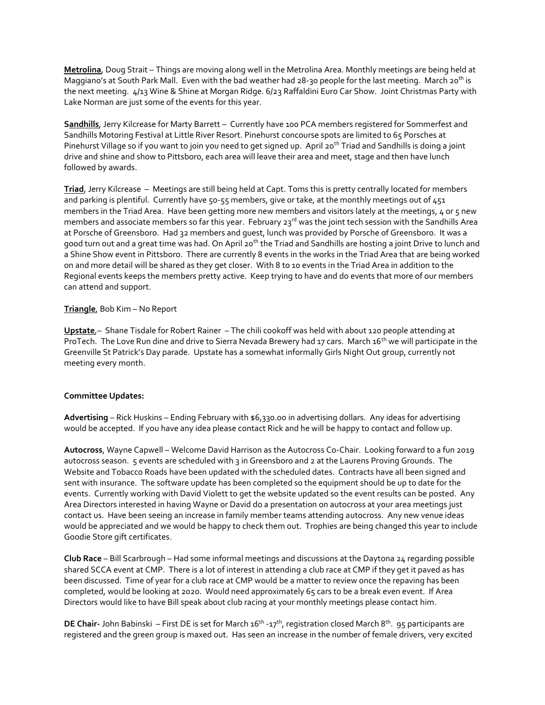**Metrolina**, Doug Strait – Things are moving along well in the Metrolina Area. Monthly meetings are being held at Maggiano's at South Park Mall. Even with the bad weather had 28-30 people for the last meeting. March 20<sup>th</sup> is the next meeting. 4/13 Wine & Shine at Morgan Ridge. 6/23 Raffaldini Euro Car Show. Joint Christmas Party with Lake Norman are just some of the events for this year.

**Sandhills**, Jerry Kilcrease for Marty Barrett – Currently have 100 PCA members registered for Sommerfest and Sandhills Motoring Festival at Little River Resort. Pinehurst concourse spots are limited to 65 Porsches at Pinehurst Village so if you want to join you need to get signed up. April 20<sup>th</sup> Triad and Sandhills is doing a joint drive and shine and show to Pittsboro, each area will leave their area and meet, stage and then have lunch followed by awards.

**Triad**, Jerry Kilcrease – Meetings are still being held at Capt. Toms this is pretty centrally located for members and parking is plentiful. Currently have 50-55 members, give or take, at the monthly meetings out of 451 members in the Triad Area. Have been getting more new members and visitors lately at the meetings, 4 or 5 new members and associate members so far this year. February  $23^{rd}$  was the joint tech session with the Sandhills Area at Porsche of Greensboro. Had 32 members and guest, lunch was provided by Porsche of Greensboro. It was a good turn out and a great time was had. On April 20<sup>th</sup> the Triad and Sandhills are hosting a joint Drive to lunch and a Shine Show event in Pittsboro. There are currently 8 events in the works in the Triad Area that are being worked on and more detail will be shared as they get closer. With 8 to 10 events in the Triad Area in addition to the Regional events keeps the members pretty active. Keep trying to have and do events that more of our members can attend and support.

## **Triangle**, Bob Kim – No Report

**Upstate**,– Shane Tisdale for Robert Rainer – The chili cookoff was held with about 120 people attending at ProTech. The Love Run dine and drive to Sierra Nevada Brewery had 17 cars. March 16<sup>th</sup> we will participate in the Greenville St Patrick's Day parade. Upstate has a somewhat informally Girls Night Out group, currently not meeting every month.

#### **Committee Updates:**

**Advertising** – Rick Huskins – Ending February with \$6,330.00 in advertising dollars. Any ideas for advertising would be accepted. If you have any idea please contact Rick and he will be happy to contact and follow up.

**Autocross**, Wayne Capwell – Welcome David Harrison as the Autocross Co-Chair. Looking forward to a fun 2019 autocross season. 5 events are scheduled with 3 in Greensboro and 2 at the Laurens Proving Grounds. The Website and Tobacco Roads have been updated with the scheduled dates. Contracts have all been signed and sent with insurance. The software update has been completed so the equipment should be up to date for the events. Currently working with David Violett to get the website updated so the event results can be posted. Any Area Directors interested in having Wayne or David do a presentation on autocross at your area meetings just contact us. Have been seeing an increase in family member teams attending autocross. Any new venue ideas would be appreciated and we would be happy to check them out. Trophies are being changed this year to include Goodie Store gift certificates.

**Club Race** – Bill Scarbrough – Had some informal meetings and discussions at the Daytona 24 regarding possible shared SCCA event at CMP. There is a lot of interest in attending a club race at CMP if they get it paved as has been discussed. Time of year for a club race at CMP would be a matter to review once the repaving has been completed, would be looking at 2020. Would need approximately 65 cars to be a break even event. If Area Directors would like to have Bill speak about club racing at your monthly meetings please contact him.

DE Chair- John Babinski – First DE is set for March 16<sup>th</sup> -17<sup>th</sup>, registration closed March 8<sup>th</sup>. 95 participants are registered and the green group is maxed out. Has seen an increase in the number of female drivers, very excited